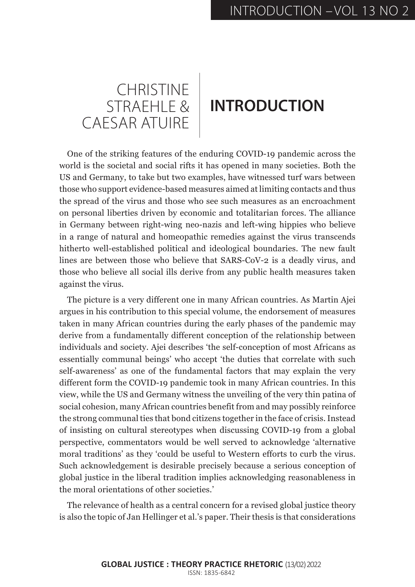## CHRISTINE CAESAR ATUIRE

## STRAEHLE & **INTRODUCTION**

One of the striking features of the enduring COVID-19 pandemic across the world is the societal and social rifts it has opened in many societies. Both the US and Germany, to take but two examples, have witnessed turf wars between those who support evidence-based measures aimed at limiting contacts and thus the spread of the virus and those who see such measures as an encroachment on personal liberties driven by economic and totalitarian forces. The alliance in Germany between right-wing neo-nazis and left-wing hippies who believe in a range of natural and homeopathic remedies against the virus transcends hitherto well-established political and ideological boundaries. The new fault lines are between those who believe that SARS-CoV-2 is a deadly virus, and those who believe all social ills derive from any public health measures taken against the virus.

The picture is a very different one in many African countries. As Martin Ajei argues in his contribution to this special volume, the endorsement of measures taken in many African countries during the early phases of the pandemic may derive from a fundamentally different conception of the relationship between individuals and society. Ajei describes 'the self-conception of most Africans as essentially communal beings' who accept 'the duties that correlate with such self-awareness' as one of the fundamental factors that may explain the very different form the COVID-19 pandemic took in many African countries. In this view, while the US and Germany witness the unveiling of the very thin patina of social cohesion, many African countries benefit from and may possibly reinforce the strong communal ties that bond citizens together in the face of crisis. Instead of insisting on cultural stereotypes when discussing COVID-19 from a global perspective, commentators would be well served to acknowledge 'alternative moral traditions' as they 'could be useful to Western efforts to curb the virus. Such acknowledgement is desirable precisely because a serious conception of global justice in the liberal tradition implies acknowledging reasonableness in the moral orientations of other societies.'

The relevance of health as a central concern for a revised global justice theory is also the topic of Jan Hellinger et al.'s paper. Their thesis is that considerations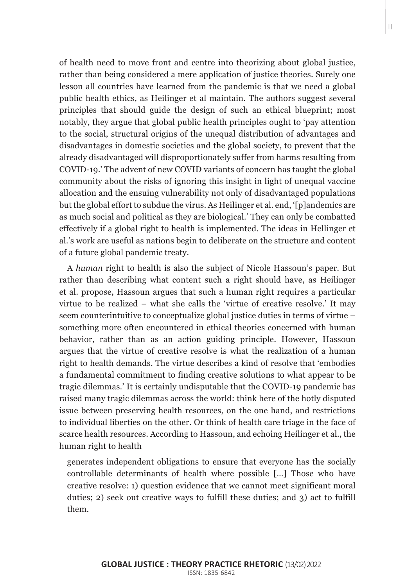of health need to move front and centre into theorizing about global justice, rather than being considered a mere application of justice theories. Surely one lesson all countries have learned from the pandemic is that we need a global public health ethics, as Heilinger et al maintain. The authors suggest several principles that should guide the design of such an ethical blueprint; most notably, they argue that global public health principles ought to 'pay attention to the social, structural origins of the unequal distribution of advantages and disadvantages in domestic societies and the global society, to prevent that the already disadvantaged will disproportionately suffer from harms resulting from COVID-19.' The advent of new COVID variants of concern has taught the global community about the risks of ignoring this insight in light of unequal vaccine allocation and the ensuing vulnerability not only of disadvantaged populations but the global effort to subdue the virus. As Heilinger et al. end, '[p]andemics are as much social and political as they are biological.' They can only be combatted effectively if a global right to health is implemented. The ideas in Hellinger et al.'s work are useful as nations begin to deliberate on the structure and content of a future global pandemic treaty.

A *human* right to health is also the subject of Nicole Hassoun's paper. But rather than describing what content such a right should have, as Heilinger et al. propose, Hassoun argues that such a human right requires a particular virtue to be realized – what she calls the 'virtue of creative resolve.' It may seem counterintuitive to conceptualize global justice duties in terms of virtue – something more often encountered in ethical theories concerned with human behavior, rather than as an action guiding principle. However, Hassoun argues that the virtue of creative resolve is what the realization of a human right to health demands. The virtue describes a kind of resolve that 'embodies a fundamental commitment to finding creative solutions to what appear to be tragic dilemmas.' It is certainly undisputable that the COVID-19 pandemic has raised many tragic dilemmas across the world: think here of the hotly disputed issue between preserving health resources, on the one hand, and restrictions to individual liberties on the other. Or think of health care triage in the face of scarce health resources. According to Hassoun, and echoing Heilinger et al., the human right to health

generates independent obligations to ensure that everyone has the socially controllable determinants of health where possible […] Those who have creative resolve: 1) question evidence that we cannot meet significant moral duties; 2) seek out creative ways to fulfill these duties; and 3) act to fulfill them.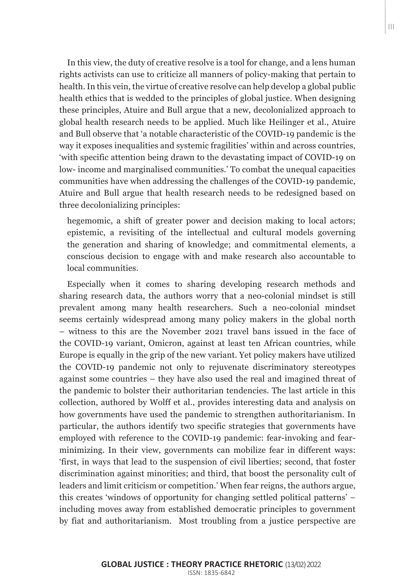In this view, the duty of creative resolve is a tool for change, and a lens human rights activists can use to criticize all manners of policy-making that pertain to health. In this vein, the virtue of creative resolve can help develop a global public health ethics that is wedded to the principles of global justice. When designing these principles, Atuire and Bull argue that a new, decolonialized approach to global health research needs to be applied. Much like Heilinger et al., Atuire and Bull observe that 'a notable characteristic of the COVID-19 pandemic is the way it exposes inequalities and systemic fragilities' within and across countries, 'with specific attention being drawn to the devastating impact of COVID-19 on low- income and marginalised communities.' To combat the unequal capacities communities have when addressing the challenges of the COVID-19 pandemic, Atuire and Bull argue that health research needs to be redesigned based on three decolonializing principles:

hegemomic, a shift of greater power and decision making to local actors; epistemic, a revisiting of the intellectual and cultural models governing the generation and sharing of knowledge; and commitmental elements, a conscious decision to engage with and make research also accountable to local communities.

Especially when it comes to sharing developing research methods and sharing research data, the authors worry that a neo-colonial mindset is still prevalent among many health researchers. Such a neo-colonial mindset seems certainly widespread among many policy makers in the global north – witness to this are the November 2021 travel bans issued in the face of the COVID-19 variant, Omicron, against at least ten African countries, while Europe is equally in the grip of the new variant. Yet policy makers have utilized the COVID-19 pandemic not only to rejuvenate discriminatory stereotypes against some countries – they have also used the real and imagined threat of the pandemic to bolster their authoritarian tendencies. The last article in this collection, authored by Wolff et al., provides interesting data and analysis on how governments have used the pandemic to strengthen authoritarianism. In particular, the authors identify two specific strategies that governments have employed with reference to the COVID-19 pandemic: fear-invoking and fearminimizing. In their view, governments can mobilize fear in different ways: 'first, in ways that lead to the suspension of civil liberties; second, that foster discrimination against minorities; and third, that boost the personality cult of leaders and limit criticism or competition.' When fear reigns, the authors argue, this creates 'windows of opportunity for changing settled political patterns' – including moves away from established democratic principles to government by fiat and authoritarianism. Most troubling from a justice perspective are